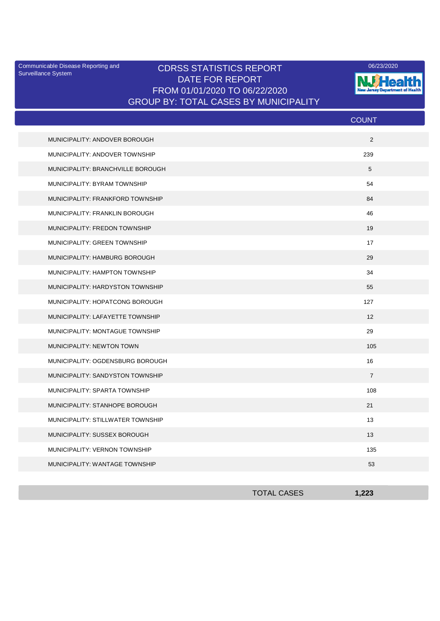Surveillance System

## Communicable Disease Reporting and CDRSS STATISTICS REPORT 2006/23/2020 DATE FOR REPORT FROM 01/01/2020 TO 06/22/2020 GROUP BY: TOTAL CASES BY MUNICIPALITY



|                                   | <b>COUNT</b>   |
|-----------------------------------|----------------|
| MUNICIPALITY: ANDOVER BOROUGH     | 2              |
| MUNICIPALITY: ANDOVER TOWNSHIP    | 239            |
| MUNICIPALITY: BRANCHVILLE BOROUGH | 5              |
| MUNICIPALITY: BYRAM TOWNSHIP      | 54             |
| MUNICIPALITY: FRANKFORD TOWNSHIP  | 84             |
| MUNICIPALITY: FRANKLIN BOROUGH    | 46             |
| MUNICIPALITY: FREDON TOWNSHIP     | 19             |
| MUNICIPALITY: GREEN TOWNSHIP      | 17             |
| MUNICIPALITY: HAMBURG BOROUGH     | 29             |
| MUNICIPALITY: HAMPTON TOWNSHIP    | 34             |
| MUNICIPALITY: HARDYSTON TOWNSHIP  | 55             |
| MUNICIPALITY: HOPATCONG BOROUGH   | 127            |
| MUNICIPALITY: LAFAYETTE TOWNSHIP  | 12             |
| MUNICIPALITY: MONTAGUE TOWNSHIP   | 29             |
| <b>MUNICIPALITY: NEWTON TOWN</b>  | 105            |
| MUNICIPALITY: OGDENSBURG BOROUGH  | 16             |
| MUNICIPALITY: SANDYSTON TOWNSHIP  | $\overline{7}$ |
| MUNICIPALITY: SPARTA TOWNSHIP     | 108            |
| MUNICIPALITY: STANHOPE BOROUGH    | 21             |
| MUNICIPALITY: STILLWATER TOWNSHIP | 13             |
| MUNICIPALITY: SUSSEX BOROUGH      | 13             |
| MUNICIPALITY: VERNON TOWNSHIP     | 135            |
| MUNICIPALITY: WANTAGE TOWNSHIP    | 53             |

| <b>TOTAL CASES</b> | 1.222<br>-65 |
|--------------------|--------------|
|                    |              |